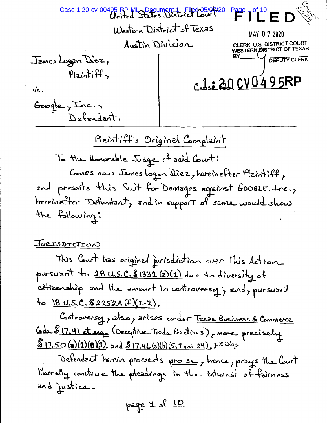age 1 of 10  $\epsilon$ Case 1:20-cv-00495-RP-MLo Document 4 Filed 05/04/20 Western District of Texas MAY 0 7 2020 Austin Division CLERK, U.S. DISTRICT COURT **WESTERN OISTRICT OF TEXAS** Janes Logen Diez, **DEPUTY CLERK**  $Plaintiff$ Cadse 20 CV0 495RP Vs.  $Google, Inc.,$ Defendant.

Plaintiff's Original Complaint To the Honorable Judge of said Court: Comes now James Logan Diez, hereinafter Maintiff, and presents this Suit for Damages against Google. Inc., hereinafter Defendant, and in support of same would show the following:

## JURISDICTION

This Court has original jurisdiction over This Action pursuant to 28 U.S.C. \$1332 (2) (1) due to diversity of citizenship and the amount in controversy; and, pursuant to 18 U.S.C. \$2252A (f)(1-2).

Controversy, also, arises under Texas Business & Commerce Cede 817.41 et seg (Déceptive Trade Practices), more precisely  $\sqrt{\frac{1}{50(a)(1)(6)(3)}}$  and  $\sqrt[6]{17.46(a)(b)(5,7)}$  and 24).  $\frac{1}{2} \times 0.26$ 

Defendant herein proceeds prose, hence, prays the Court liberally construe the pleadings in the interest of fairness and justice.

page 1 of 10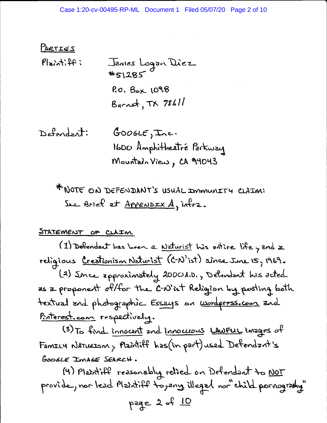PARTIES  $P1 = 2 + 2 + 2 + 3$ James Logan Diez #51285 P.O. Box 1098 Burnet, TX 78611

Defendent:  $GOOGE, Inc.$ 1600 Amphitheatré Parkway Mountain View, CA 94043

\* NOTE ON DEFENDANT'S USUAL IMMUNITY CLAIM: See Brief et <u>Appendex A,</u> infra.

STATEMENT OF CLAIM

(1) Defendent has been a Naturist his entire life, and a religious Creationism Naturist (C-N'ist) since June 15, 1969. (2) Ince approximately 2000 A.D., Debendont has acted as a proponent of/for the C-N'ist Religion by posting both textual and photographic Essays on Wordpress.com and Proterest.com respectively.

(3) To find innocent and innocuous LAWFUL images of FAMILY NATURISM, Plaintiff has (in part) used Defendant's GOOSLE IMAGE SEARCH.

(4) Plantiff reasonably relied on Defendant to NOT provide, nor lead Plaintiff to, any illegal nor child pornogramy" page 2 of 10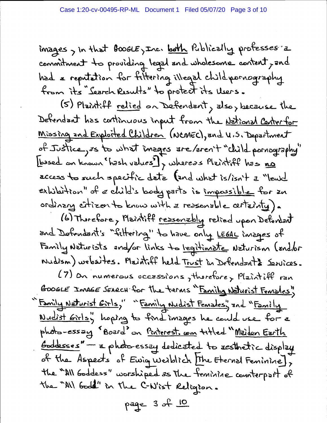images, in that foogle, Inc. both Publically professes a commitment to providing legal and wholesome content, and had a reputation for fittering illegal child pornography from its "Search Results" to protect its Users.

(5) Plaintiff relied on Defendent, also, because the Defendent has continuous input from the <u>National Centerfor</u> <u>Missing and Exploited Children</u> (NCMEC), and U.S. Department of Justice, is to what images are/aren't "child pornography" Lossed on known "hash values"], whereas Plaintiff has no access to such specific data (and what is/isn't a "leurd exhibition" of a child's body parts is impossible for an ordinary citizen to know with a reasonable certainty).

(6) Therefore, Maintiff <u>ressonably</u> relied upon Defendant and Defendant's "fittering" to have only LEGAL images of Family Naturists and/or links to legitimate Naturism (and/or Nudism) websites. Plaintiff held Trust in Defendants Services.

(7) on numerous occassions, therefore, Plaintiff ran GOOGLE IMAGE SEARCH for the terms "Family Naturist Females" "Family Naturist Girls," "Family Nudist Females" and "Family <u>Wudist Girls</u>y hoping to final images he could use for a photo-essay "Board" on <u>Penterest. com</u> titled "<u>Maiden Earth</u> Goddesses" - a photo-essey dedicated to resthetic display of the Aspects of Ewig weiblich [The Eternal Feminine], the "All Goddess" worshiped as the feminine counterpart of the "All God" in the C-N'ist Religion.

page 3 of 10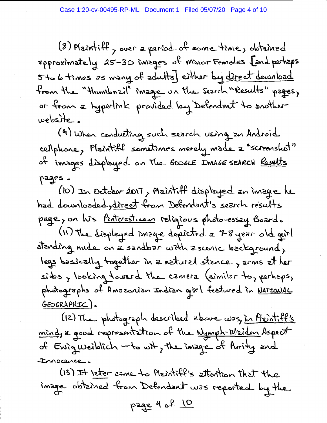(8) Plaintiff, over a period of some time, obtained zpproximately 25-30 images of minor Females [and perhaps 5to 6 times as many of adults] either by direct download from the "thumbrail" image on the Search "Results" pages, or from a hyperlink provided by Defendant to another website.

(9) When conducting such search using an Android cellphone, Plaintiff sometimes merely made = "screenshot" of images displayed on the GooGLE IMAGE SEARCH Results pages.

(10) In October 2017, Maintiff displayed an image he had downloaded, direct from Defendant's search results page, on his <u>Pinterest.com</u> religious photo-essay Board. (II) The displayed inage dericted & 7-8 year old girl standing nude on a sandbar with a scenic background, legs basically together in a natural stance, arms at her sides, looking toward the camera (similar to, perhaps, photographs of Anazonian Indian gorl featured in <u>NATIONAL</u> GEOGRAPHIC).

(12) The photograph described zbove was, in Plaintiff's mind, a good representation of the Nymph-Maiden Aspect of Ewigweiblich - to wit, the image of Purity and Innocence

(13) It later came to Plaintiff's attention that the inage obtained from Defendant was reported by the page 4 of 10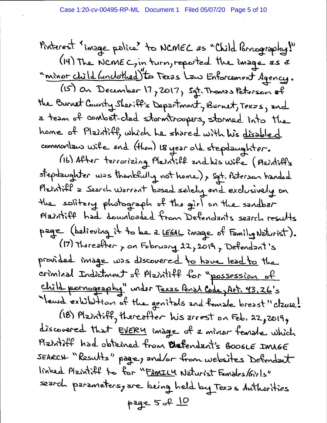Pinterest insque police to NCMEC as "Child Pornography!" (14) The NCME C, in turn, reported the image as a "minor child (unclothed) to Texas Law Enforcement Agency.

(15) on December 17, 2017, Sgt. Thomas Peterson of the Burnet County Sheriff's Department, Burnet, Texzs, and a team of combat-clad stormtroopers, stormed into the home of Plaintiff, which he shared with his disabled commontan wife and (thon) 18 year old stepdaughter.

(16) After terrorizing Plaintiff and his wife (Plaintiff's stepdzughter was thankfully not home), sat. Peterson handed Plaintiff = Search warrant based solely and exclusively on the solitary photograph of the girl on the sandbar Plaintiff had downloaded from Defendants search results page (believing it to be a LEGAL image of Family Naturist).

(17) Thereafter , on February 22, 2019, Defendant's provided image was discovered to have lead to the criminal Indictment of Plaintiff for "possession of <u>child pornography"</u> under Texas Penal Code, Art. 43.26's "lewd exhibition of the genitals and female breast" clause!

(18) Plantiff, thereafter his arrest on Feb. 22, 2019, discovered that EVERY image of a minor female which Matrill had obtained from Defendant's GOOGLE IMAGE SEARCH "Results" page, and/or from websites Defendant linked Plaintiff to for "FAMILY Naturist Females/Girls" search parameters, are being held by Texas Authorities page 5 of 10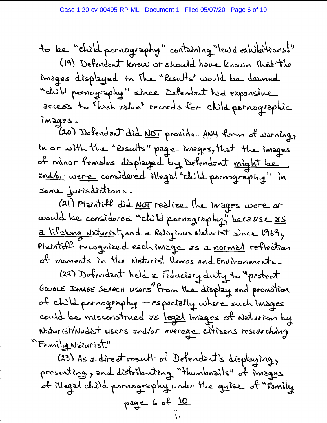to be "child pornography" containing "lewd exhibitions!" (19) Defendent knew or should have known that the images displayed in the "Results" would be deemed "child parnography" since Defendant had expansive access to Thash value records for child parnagraphic images.

(20) Defendant did NOT provide ANY form of warning, In or with the "Posults" page images, that the images of minor females displayed by Defendant might be <u>and/or were</u> considered illegal "child pornography" in sane jurisdictions.

(21) Plaintiff did <u>NOT</u> redite the images were or would be considered "child pornography" because 35 <u>z lifelong Neturist</u>, and a Religious Naturist since 1969, Plaintiff recognized each image as a normal reflection of moments in the Naturist Hemes and Environments.

(22) Defendent held & Fiduciary duty to "protect GOOGLE Image SEARCH users "from the display and promotion of child pornography - especially where such images could be misconstrued as legal images of Naturism by Naturist/Nudist users and/or average citizens researching "Family Naturist."

(23) As a direct rosult of Detendent's displaying, presenting, and distributing "thumbrails" of images of illegal child pornography under the guise of "Family page 6 of  $\frac{10}{10}$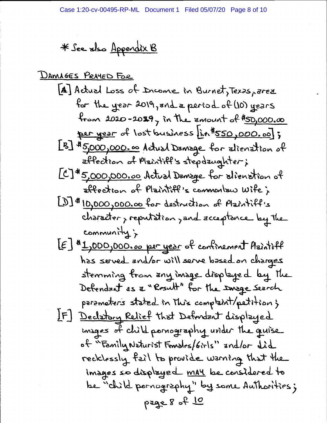\* See also Appendix B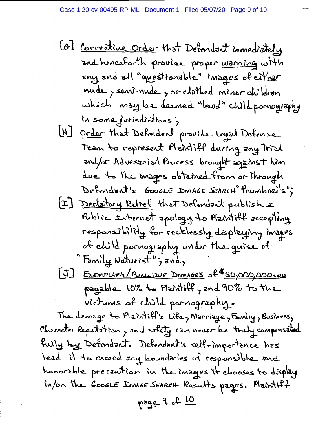[o] <u>Corrective Order</u> that Defendant immediately and henceforth provide proper warning with any and all "questionable" images of either mude, sensinade, sor clothed minor children which may be deemed "lead" child pornography In some jurisdictions; [H] Order that Defondent provide Legal Defonse Tean to represent Plaintiff during any Trial and/or Advesarial Process brought against him due to the images obtained from or Through Defendant's GOOGLE IMAGE SEARCH Thumbrails"; [I] Declatory Retref that Defendent publish & Public Internet apology to Plaintiff accepting responsibility for recklessly displaying images of child pornography under the quise of "Family Naturist"; and, [J] EXEMPLARY/PUNITIVE DAMAGES of \$50,000,000.00 payable 10% to Maintiff, and 90% to the victums of child pornography.

The damage to Plaintiff's Life, Marriage, Family, Business, Character Reputation, and safety can never be touly compensated fully by Defendant. Defendant's selfrimportance has lead it to exceed any boundaries of responsible and honorable precaution in the images it chooses to display in/on the GooGLE Innse SEARCH Results pages. Plaintiff page 9 of 10